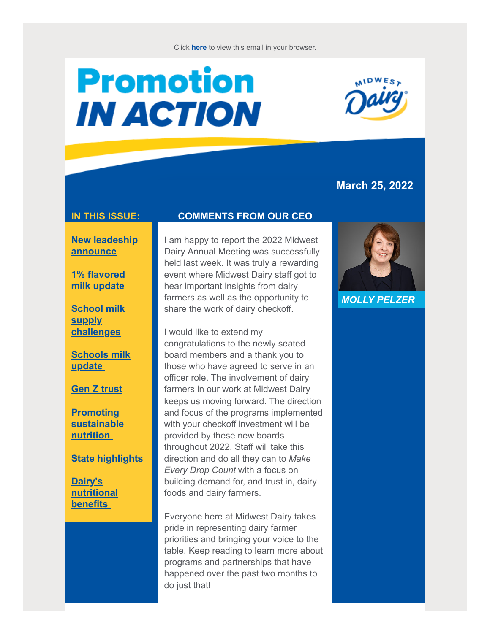# **Promotion IN ACTION**



## **March 25, 2022**

#### **IN THIS ISSUE:**

**[New leadeship](#page-1-0) announce**

**[1% flavored](#page-1-1) milk update**

**[School milk](#page-2-0) supply challenges**

**[Schools milk](#page-2-1) update**

**[Gen Z trust](#page-4-0)**

**Promoting [sustainable](#page-5-0) nutrition**

**[State highlights](#page-7-0)**

**Dairy's [nutritional](#page-8-0) benefits**

#### **COMMENTS FROM OUR CEO**

I am happy to report the 2022 Midwest Dairy Annual Meeting was successfully held last week. It was truly a rewarding event where Midwest Dairy staff got to hear important insights from dairy farmers as well as the opportunity to share the work of dairy checkoff.

I would like to extend my congratulations to the newly seated board members and a thank you to those who have agreed to serve in an officer role. The involvement of dairy farmers in our work at Midwest Dairy keeps us moving forward. The direction and focus of the programs implemented with your checkoff investment will be provided by these new boards throughout 2022. Staff will take this direction and do all they can to *Make Every Drop Count* with a focus on building demand for, and trust in, dairy foods and dairy farmers.

Everyone here at Midwest Dairy takes pride in representing dairy farmer priorities and bringing your voice to the table. Keep reading to learn more about programs and partnerships that have happened over the past two months to do just that!



*MOLLY PELZER*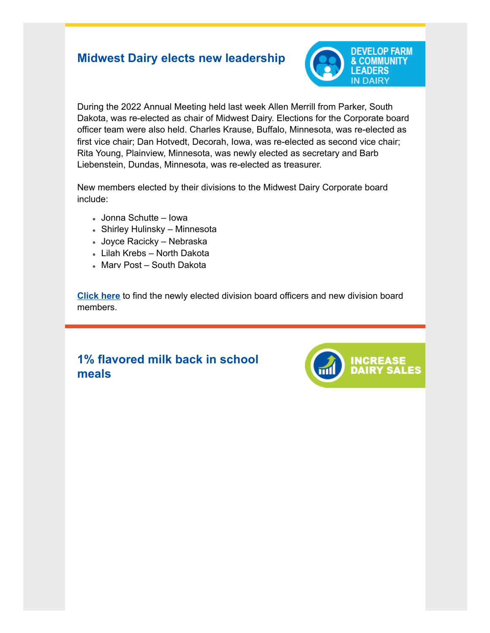# <span id="page-1-0"></span>**Midwest Dairy elects new leadership**



During the 2022 Annual Meeting held last week Allen Merrill from Parker, South Dakota, was re-elected as chair of Midwest Dairy. Elections for the Corporate board officer team were also held. Charles Krause, Buffalo, Minnesota, was re-elected as first vice chair; Dan Hotvedt, Decorah, Iowa, was re-elected as second vice chair; Rita Young, Plainview, Minnesota, was newly elected as secretary and Barb Liebenstein, Dundas, Minnesota, was re-elected as treasurer.

New members elected by their divisions to the Midwest Dairy Corporate board include:

- Jonna Schutte Iowa
- Shirley Hulinsky Minnesota
- Joyce Racicky Nebraska
- Lilah Krebs North Dakota
- Marv Post South Dakota

**[Click here](http://links.midwestdairy.com/c/7/eyJhaSI6MTA2Njk3NjIsImUiOiJwaWFfYWxsX3N0YXRlc0BtaWR3ZXN0ZGFpcnkuY29tIiwicmkiOiJjb250YWN0LTNiZmRiMDA2YTBmNzQwZTk5OTViNzQxMjE3NTliYmQ2LWJiZjRhZDFkNGExYTQ0YTE5MjEyNWM4YzJmMDAyNDhjIiwicnEiOiIwMi1iMjIwODQtZWI2YmUxZWI1OWE4NDkyNDlkMzIxMGE2MGU2ODE4MWQiLCJwaCI6bnVsbCwibSI6dHJ1ZSwidWkiOiIyIiwidW4iOiJMZWFkZXJzaGlwIiwidSI6Imh0dHBzOi8vd3d3Lm1pZHdlc3RkYWlyeS5jb20vbWlkd2VzdC1kYWlyeS1lbGVjdHMtbmV3LWxlYWRlcnNoaXAvP2ZiY2xpZD1Jd0FSMm1BU1ktNDdtU0EySHZQeDlPQkFFNkNMMjlOS3JFUC1OZ3N1dEVIWVR3d1B3SllBVHZ1RGNuUnNBJl9jbGRlZT1jR2xoWDJGc2JGOXpkR0YwWlhOQWJXbGtkMlZ6ZEdSaGFYSjVMbU52YlElM2QlM2QmcmVjaXBpZW50aWQ9Y29udGFjdC0zYmZkYjAwNmEwZjc0MGU5OTk1Yjc0MTIxNzU5YmJkNi1iYmY0YWQxZDRhMWE0NGExOTIxMjVjOGMyZjAwMjQ4YyZlc2lkPWU5OWI4OWJlLWI1YWItZWMxMS05ODNmLTAwMGQzYTEwMjg0ZCJ9/q9W_DgRdQMQLQ40Wn9HNzg)** to find the newly elected division board officers and new division board members.

# <span id="page-1-1"></span>**1% flavored milk back in school meals**

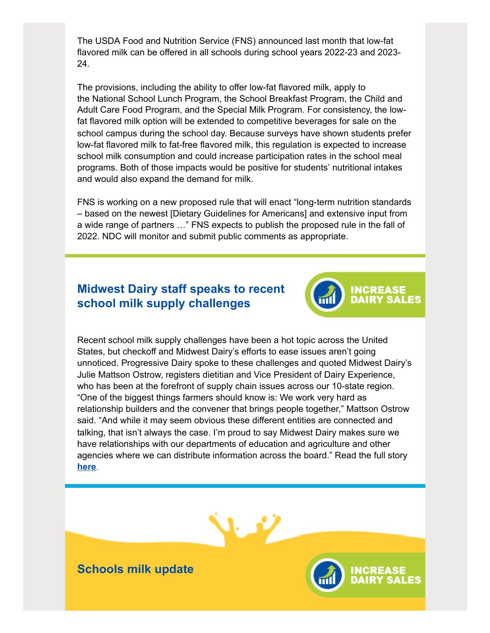The USDA Food and Nutrition Service (FNS) announced last month that low-fat flavored milk can be offered in all schools during school years 2022-23 and 2023- 24.

The provisions, including the ability to offer low-fat flavored milk, apply to the National School Lunch Program, the School Breakfast Program, the Child and Adult Care Food Program, and the Special Milk Program. For consistency, the lowfat flavored milk option will be extended to competitive beverages for sale on the school campus during the school day. Because surveys have shown students prefer low-fat flavored milk to fat-free flavored milk, this regulation is expected to increase school milk consumption and could increase participation rates in the school meal programs. Both of those impacts would be positive for students' nutritional intakes and would also expand the demand for milk.

FNS is working on a new proposed rule that will enact "long-term nutrition standards – based on the newest [Dietary Guidelines for Americans] and extensive input from a wide range of partners …" FNS expects to publish the proposed rule in the fall of 2022. NDC will monitor and submit public comments as appropriate.

## <span id="page-2-0"></span>**Midwest Dairy staff speaks to recent school milk supply challenges**



Recent school milk supply challenges have been a hot topic across the United States, but checkoff and Midwest Dairy's efforts to ease issues aren't going unnoticed. Progressive Dairy spoke to these challenges and quoted Midwest Dairy's Julie Mattson Ostrow, registers dietitian and Vice President of Dairy Experience, who has been at the forefront of supply chain issues across our 10-state region. "One of the biggest things farmers should know is: We work very hard as relationship builders and the convener that brings people together," Mattson Ostrow said. "And while it may seem obvious these different entities are connected and talking, that isn't always the case. I'm proud to say Midwest Dairy makes sure we have relationships with our departments of education and agriculture and other agencies where we can distribute information across the board." Read the full story **[here](http://links.midwestdairy.com/c/7/eyJhaSI6MTA2Njk3NjIsImUiOiJwaWFfYWxsX3N0YXRlc0BtaWR3ZXN0ZGFpcnkuY29tIiwicmkiOiJjb250YWN0LTNiZmRiMDA2YTBmNzQwZTk5OTViNzQxMjE3NTliYmQ2LWJiZjRhZDFkNGExYTQ0YTE5MjEyNWM4YzJmMDAyNDhjIiwicnEiOiIwMi1iMjIwODQtZWI2YmUxZWI1OWE4NDkyNDlkMzIxMGE2MGU2ODE4MWQiLCJwaCI6bnVsbCwibSI6dHJ1ZSwidWkiOiIzIiwidW4iOiIxJTI1IiwidSI6Imh0dHBzOi8vd3d3LnByb2dyZXNzaXZlZGFpcnkuY29tL25ld3Mvb3JnYW5pemF0aW9ucy9jaGVja29mZi13YXRjaC1jaGVja29mZi10ZWFtcy1zdXBwb3J0LXNjaG9vbHMtYW1pZC1zdXBwbHktY2hhaW4tY2hhbGxlbmdlcz9fY2xkZWU9Y0dsaFgyRnNiRjl6ZEdGMFpYTkFiV2xrZDJWemRHUmhhWEo1TG1OdmJRJTNkJTNkJnJlY2lwaWVudGlkPWNvbnRhY3QtM2JmZGIwMDZhMGY3NDBlOTk5NWI3NDEyMTc1OWJiZDYtYmJmNGFkMWQ0YTFhNDRhMTkyMTI1YzhjMmYwMDI0OGMmZXNpZD1lOTliODliZS1iNWFiLWVjMTEtOTgzZi0wMDBkM2ExMDI4NGQifQ/Kmx0Yt5Nz2ivoR2tWTkUPQ)**.



<span id="page-2-1"></span>**Schools milk update**

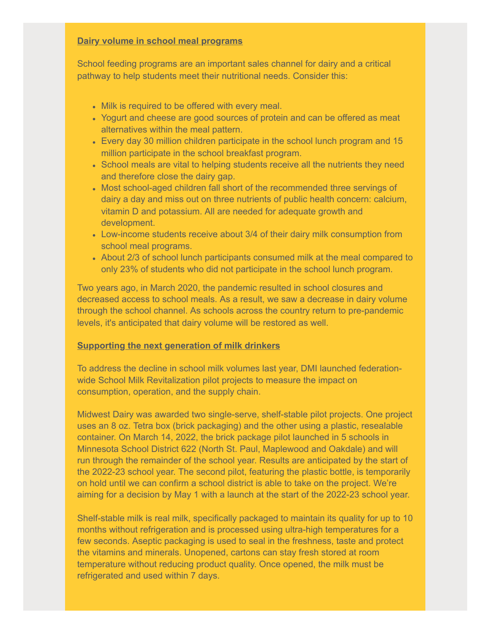### **Dairy volume in school meal programs**

School feeding programs are an important sales channel for dairy and a critical pathway to help students meet their nutritional needs. Consider this:

- Milk is required to be offered with every meal.
- Yogurt and cheese are good sources of protein and can be offered as meat alternatives within the meal pattern.
- Every day 30 million children participate in the school lunch program and 15 million participate in the school breakfast program.
- School meals are vital to helping students receive all the nutrients they need and therefore close the dairy gap.
- Most school-aged children fall short of the recommended three servings of dairy a day and miss out on three nutrients of public health concern: calcium, vitamin D and potassium. All are needed for adequate growth and development.
- Low-income students receive about 3/4 of their dairy milk consumption from school meal programs.
- About 2/3 of school lunch participants consumed milk at the meal compared to only 23% of students who did not participate in the school lunch program.

Two years ago, in March 2020, the pandemic resulted in school closures and decreased access to school meals. As a result, we saw a decrease in dairy volume through the school channel. As schools across the country return to pre-pandemic levels, it's anticipated that dairy volume will be restored as well.

#### **Supporting the next generation of milk drinkers**

To address the decline in school milk volumes last year, DMI launched federationwide School Milk Revitalization pilot projects to measure the impact on consumption, operation, and the supply chain.

Midwest Dairy was awarded two single-serve, shelf-stable pilot projects. One project uses an 8 oz. Tetra box (brick packaging) and the other using a plastic, resealable container. On March 14, 2022, the brick package pilot launched in 5 schools in Minnesota School District 622 (North St. Paul, Maplewood and Oakdale) and will run through the remainder of the school year. Results are anticipated by the start of the 2022-23 school year. The second pilot, featuring the plastic bottle, is temporarily on hold until we can confirm a school district is able to take on the project. We're aiming for a decision by May 1 with a launch at the start of the 2022-23 school year.

Shelf-stable milk is real milk, specifically packaged to maintain its quality for up to 10 months without refrigeration and is processed using ultra-high temperatures for a few seconds. Aseptic packaging is used to seal in the freshness, taste and protect the vitamins and minerals. Unopened, cartons can stay fresh stored at room temperature without reducing product quality. Once opened, the milk must be refrigerated and used within 7 days.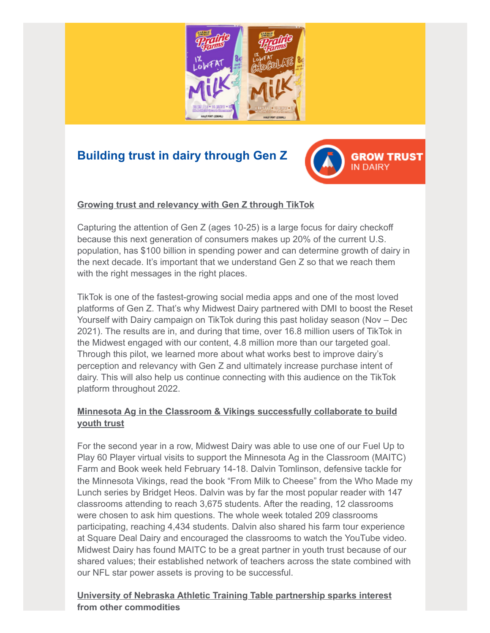

# <span id="page-4-0"></span>**Building trust in dairy through Gen Z**



## **Growing trust and relevancy with Gen Z through TikTok**

Capturing the attention of Gen Z (ages 10-25) is a large focus for dairy checkoff because this next generation of consumers makes up 20% of the current U.S. population, has \$100 billion in spending power and can determine growth of dairy in the next decade. It's important that we understand Gen Z so that we reach them with the right messages in the right places.

TikTok is one of the fastest-growing social media apps and one of the most loved platforms of Gen Z. That's why Midwest Dairy partnered with DMI to boost the Reset Yourself with Dairy campaign on TikTok during this past holiday season (Nov – Dec 2021). The results are in, and during that time, over 16.8 million users of TikTok in the Midwest engaged with our content, 4.8 million more than our targeted goal. Through this pilot, we learned more about what works best to improve dairy's perception and relevancy with Gen Z and ultimately increase purchase intent of dairy. This will also help us continue connecting with this audience on the TikTok platform throughout 2022.

## **Minnesota Ag in the Classroom & Vikings successfully collaborate to build youth trust**

For the second year in a row, Midwest Dairy was able to use one of our Fuel Up to Play 60 Player virtual visits to support the Minnesota Ag in the Classroom (MAITC) Farm and Book week held February 14-18. Dalvin Tomlinson, defensive tackle for the Minnesota Vikings, read the book "From Milk to Cheese" from the Who Made my Lunch series by Bridget Heos. Dalvin was by far the most popular reader with 147 classrooms attending to reach 3,675 students. After the reading, 12 classrooms were chosen to ask him questions. The whole week totaled 209 classrooms participating, reaching 4,434 students. Dalvin also shared his farm tour experience at Square Deal Dairy and encouraged the classrooms to watch the YouTube video. Midwest Dairy has found MAITC to be a great partner in youth trust because of our shared values; their established network of teachers across the state combined with our NFL star power assets is proving to be successful.

**University of Nebraska Athletic Training Table partnership sparks interest from other commodities**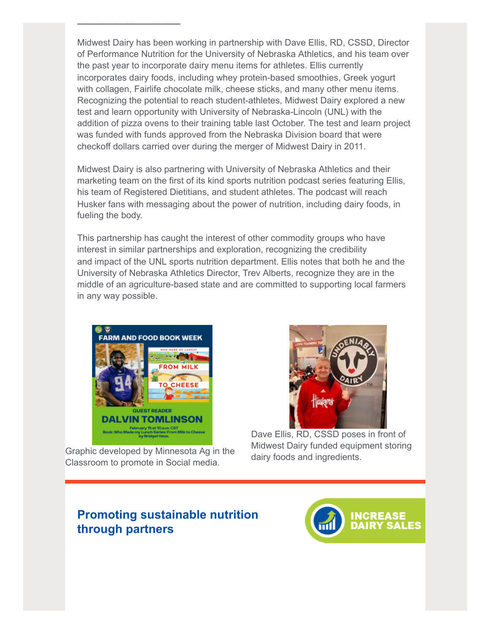Midwest Dairy has been working in partnership with Dave Ellis, RD, CSSD, Director of Performance Nutrition for the University of Nebraska Athletics, and his team over the past year to incorporate dairy menu items for athletes. Ellis currently incorporates dairy foods, including whey protein-based smoothies, Greek yogurt with collagen, Fairlife chocolate milk, cheese sticks, and many other menu items. Recognizing the potential to reach student-athletes, Midwest Dairy explored a new test and learn opportunity with University of Nebraska-Lincoln (UNL) with the addition of pizza ovens to their training table last October. The test and learn project was funded with funds approved from the Nebraska Division board that were checkoff dollars carried over during the merger of Midwest Dairy in 2011.

Midwest Dairy is also partnering with University of Nebraska Athletics and their marketing team on the first of its kind sports nutrition podcast series featuring Ellis, his team of Registered Dietitians, and student athletes. The podcast will reach Husker fans with messaging about the power of nutrition, including dairy foods, in fueling the body.

This partnership has caught the interest of other commodity groups who have interest in similar partnerships and exploration, recognizing the credibility and impact of the UNL sports nutrition department. Ellis notes that both he and the University of Nebraska Athletics Director, Trev Alberts, recognize they are in the middle of an agriculture-based state and are committed to supporting local farmers in any way possible.



**o ot e co od t es**

Graphic developed by Minnesota Ag in the Classroom to promote in Social media.



Dave Ellis, RD, CSSD poses in front of Midwest Dairy funded equipment storing dairy foods and ingredients.

# <span id="page-5-0"></span>**Promoting sustainable nutrition through partners**

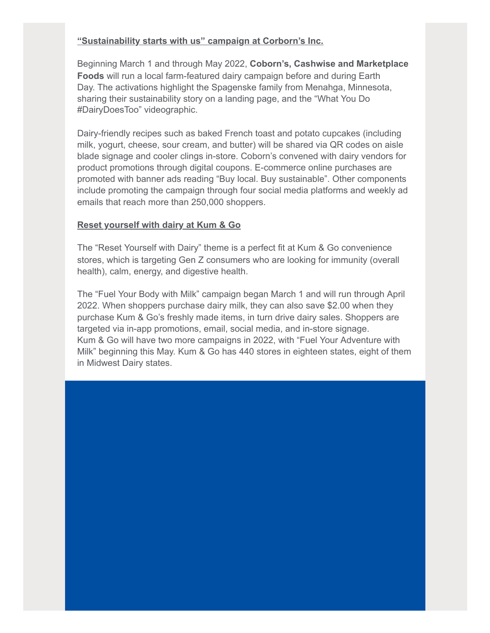## **"Sustainability starts with us" campaign at Corborn's Inc.**

Beginning March 1 and through May 2022, **Coborn's, Cashwise and Marketplace Foods** will run a local farm-featured dairy campaign before and during Earth Day. The activations highlight the Spagenske family from Menahga, Minnesota, sharing their sustainability story on a landing page, and the "What You Do #DairyDoesToo" videographic.

Dairy-friendly recipes such as baked French toast and potato cupcakes (including milk, yogurt, cheese, sour cream, and butter) will be shared via QR codes on aisle blade signage and cooler clings in-store. Coborn's convened with dairy vendors for product promotions through digital coupons. E-commerce online purchases are promoted with banner ads reading "Buy local. Buy sustainable". Other components include promoting the campaign through four social media platforms and weekly ad emails that reach more than 250,000 shoppers.

#### **Reset yourself with dairy at Kum & Go**

The "Reset Yourself with Dairy" theme is a perfect fit at Kum & Go convenience stores, which is targeting Gen Z consumers who are looking for immunity (overall health), calm, energy, and digestive health.

The "Fuel Your Body with Milk" campaign began March 1 and will run through April 2022. When shoppers purchase dairy milk, they can also save \$2.00 when they purchase Kum & Go's freshly made items, in turn drive dairy sales. Shoppers are targeted via in-app promotions, email, social media, and in-store signage. Kum & Go will have two more campaigns in 2022, with "Fuel Your Adventure with Milk" beginning this May. Kum & Go has 440 stores in eighteen states, eight of them in Midwest Dairy states.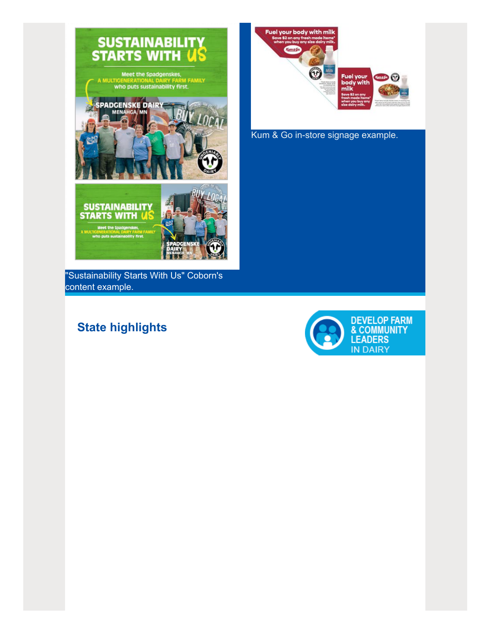

"Sustainability Starts With Us" Coborn's content example.

# <span id="page-7-0"></span>**State highlights**



Kum & Go in-store signage example.

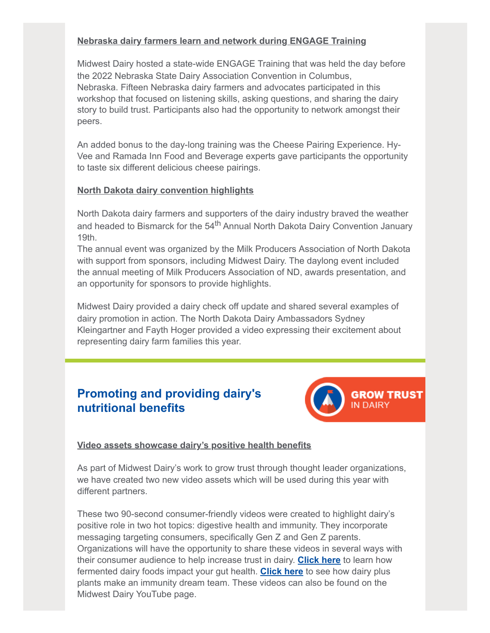## **Nebraska dairy farmers learn and network during ENGAGE Training**

Midwest Dairy hosted a state-wide ENGAGE Training that was held the day before the 2022 Nebraska State Dairy Association Convention in Columbus, Nebraska. Fifteen Nebraska dairy farmers and advocates participated in this workshop that focused on listening skills, asking questions, and sharing the dairy story to build trust. Participants also had the opportunity to network amongst their peers.

An added bonus to the day-long training was the Cheese Pairing Experience. Hy-Vee and Ramada Inn Food and Beverage experts gave participants the opportunity to taste six different delicious cheese pairings.

### **North Dakota dairy convention highlights**

North Dakota dairy farmers and supporters of the dairy industry braved the weather and headed to Bismarck for the 54<sup>th</sup> Annual North Dakota Dairy Convention January 19th.

The annual event was organized by the Milk Producers Association of North Dakota with support from sponsors, including Midwest Dairy. The daylong event included the annual meeting of Milk Producers Association of ND, awards presentation, and an opportunity for sponsors to provide highlights.

Midwest Dairy provided a dairy check off update and shared several examples of dairy promotion in action. The North Dakota Dairy Ambassadors Sydney Kleingartner and Fayth Hoger provided a video expressing their excitement about representing dairy farm families this year.

# <span id="page-8-0"></span>**Promoting and providing dairy's nutritional benefits**



## **Video assets showcase dairy's positive health benefits**

As part of Midwest Dairy's work to grow trust through thought leader organizations, we have created two new video assets which will be used during this year with different partners.

These two 90-second consumer-friendly videos were created to highlight dairy's positive role in two hot topics: digestive health and immunity. They incorporate messaging targeting consumers, specifically Gen Z and Gen Z parents. Organizations will have the opportunity to share these videos in several ways with their consumer audience to help increase trust in dairy. **[Click here](http://links.midwestdairy.com/c/7/eyJhaSI6MTA2Njk3NjIsImUiOiJwaWFfYWxsX3N0YXRlc0BtaWR3ZXN0ZGFpcnkuY29tIiwicmkiOiJjb250YWN0LTNiZmRiMDA2YTBmNzQwZTk5OTViNzQxMjE3NTliYmQ2LWJiZjRhZDFkNGExYTQ0YTE5MjEyNWM4YzJmMDAyNDhjIiwicnEiOiIwMi1iMjIwODQtZWI2YmUxZWI1OWE4NDkyNDlkMzIxMGE2MGU2ODE4MWQiLCJwaCI6bnVsbCwibSI6dHJ1ZSwidWkiOiI0IiwidW4iOiJTY2hvb2xNaWxrIiwidSI6Imh0dHBzOi8vd3d3LnlvdXR1YmUuY29tL3dhdGNoP3Y9NWt5RXdiWTFxWmMmX2NsZGVlPWNHbGhYMkZzYkY5emRHRjBaWE5BYldsa2QyVnpkR1JoYVhKNUxtTnZiUSUzZCUzZCZyZWNpcGllbnRpZD1jb250YWN0LTNiZmRiMDA2YTBmNzQwZTk5OTViNzQxMjE3NTliYmQ2LWJiZjRhZDFkNGExYTQ0YTE5MjEyNWM4YzJmMDAyNDhjJmVzaWQ9ZTk5Yjg5YmUtYjVhYi1lYzExLTk4M2YtMDAwZDNhMTAyODRkIn0/amKECJVudJyefoZsqZQDzA)** to learn how fermented dairy foods impact your gut health. **[Click here](http://links.midwestdairy.com/c/7/eyJhaSI6MTA2Njk3NjIsImUiOiJwaWFfYWxsX3N0YXRlc0BtaWR3ZXN0ZGFpcnkuY29tIiwicmkiOiJjb250YWN0LTNiZmRiMDA2YTBmNzQwZTk5OTViNzQxMjE3NTliYmQ2LWJiZjRhZDFkNGExYTQ0YTE5MjEyNWM4YzJmMDAyNDhjIiwicnEiOiIwMi1iMjIwODQtZWI2YmUxZWI1OWE4NDkyNDlkMzIxMGE2MGU2ODE4MWQiLCJwaCI6bnVsbCwibSI6dHJ1ZSwidWkiOiI1IiwidW4iOiIiLCJ1IjoiaHR0cHM6Ly93d3cueW91dHViZS5jb20vd2F0Y2g_dj02bXFQdV9SYmJFbyZfY2xkZWU9Y0dsaFgyRnNiRjl6ZEdGMFpYTkFiV2xrZDJWemRHUmhhWEo1TG1OdmJRJTNkJTNkJnJlY2lwaWVudGlkPWNvbnRhY3QtM2JmZGIwMDZhMGY3NDBlOTk5NWI3NDEyMTc1OWJiZDYtYmJmNGFkMWQ0YTFhNDRhMTkyMTI1YzhjMmYwMDI0OGMmZXNpZD1lOTliODliZS1iNWFiLWVjMTEtOTgzZi0wMDBkM2ExMDI4NGQifQ/H9hdTm1iVXDRmKfLK2i7Tw)** to see how dairy plus plants make an immunity dream team. These videos can also be found on the Midwest Dairy YouTube page.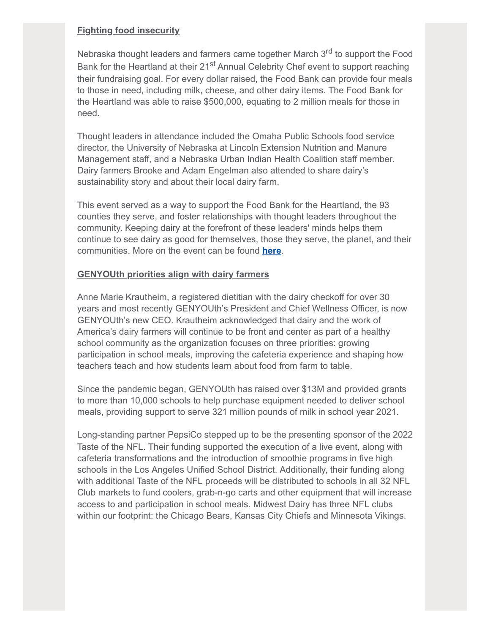### **Fighting food insecurity**

Nebraska thought leaders and farmers came together March 3<sup>rd</sup> to support the Food Bank for the Heartland at their 21<sup>st</sup> Annual Celebrity Chef event to support reaching their fundraising goal. For every dollar raised, the Food Bank can provide four meals to those in need, including milk, cheese, and other dairy items. The Food Bank for the Heartland was able to raise \$500,000, equating to 2 million meals for those in need.

Thought leaders in attendance included the Omaha Public Schools food service director, the University of Nebraska at Lincoln Extension Nutrition and Manure Management staff, and a Nebraska Urban Indian Health Coalition staff member. Dairy farmers Brooke and Adam Engelman also attended to share dairy's sustainability story and about their local dairy farm.

This event served as a way to support the Food Bank for the Heartland, the 93 counties they serve, and foster relationships with thought leaders throughout the community. Keeping dairy at the forefront of these leaders' minds helps them continue to see dairy as good for themselves, those they serve, the planet, and their communities. More on the event can be found **[here](http://links.midwestdairy.com/c/7/eyJhaSI6MTA2Njk3NjIsImUiOiJwaWFfYWxsX3N0YXRlc0BtaWR3ZXN0ZGFpcnkuY29tIiwicmkiOiJjb250YWN0LTNiZmRiMDA2YTBmNzQwZTk5OTViNzQxMjE3NTliYmQ2LWJiZjRhZDFkNGExYTQ0YTE5MjEyNWM4YzJmMDAyNDhjIiwicnEiOiIwMi1iMjIwODQtZWI2YmUxZWI1OWE4NDkyNDlkMzIxMGE2MGU2ODE4MWQiLCJwaCI6bnVsbCwibSI6dHJ1ZSwidWkiOiI2IiwidW4iOiIiLCJ1IjoiaHR0cHM6Ly93d3cua2V0di5jb20vYXJ0aWNsZS9vbWFoYS1jZWxlYnJpdHktY2hlZi1ldmVudC1yaWNoYXJkLWJsYWlzLzM5MzE2NTE5P19jbGRlZT1jR2xoWDJGc2JGOXpkR0YwWlhOQWJXbGtkMlZ6ZEdSaGFYSjVMbU52YlElM2QlM2QmcmVjaXBpZW50aWQ9Y29udGFjdC0zYmZkYjAwNmEwZjc0MGU5OTk1Yjc0MTIxNzU5YmJkNi1iYmY0YWQxZDRhMWE0NGExOTIxMjVjOGMyZjAwMjQ4YyZlc2lkPWU5OWI4OWJlLWI1YWItZWMxMS05ODNmLTAwMGQzYTEwMjg0ZCJ9/pJz1YlMeKXpPHN28gRDEBQ)**.

### **GENYOUth priorities align with dairy farmers**

Anne Marie Krautheim, a registered dietitian with the dairy checkoff for over 30 years and most recently GENYOUth's President and Chief Wellness Officer, is now GENYOUth's new CEO. Krautheim acknowledged that dairy and the work of America's dairy farmers will continue to be front and center as part of a healthy school community as the organization focuses on three priorities: growing participation in school meals, improving the cafeteria experience and shaping how teachers teach and how students learn about food from farm to table.

Since the pandemic began, GENYOUth has raised over \$13M and provided grants to more than 10,000 schools to help purchase equipment needed to deliver school meals, providing support to serve 321 million pounds of milk in school year 2021.

Long-standing partner PepsiCo stepped up to be the presenting sponsor of the 2022 Taste of the NFL. Their funding supported the execution of a live event, along with cafeteria transformations and the introduction of smoothie programs in five high schools in the Los Angeles Unified School District. Additionally, their funding along with additional Taste of the NFL proceeds will be distributed to schools in all 32 NFL Club markets to fund coolers, grab-n-go carts and other equipment that will increase access to and participation in school meals. Midwest Dairy has three NFL clubs within our footprint: the Chicago Bears, Kansas City Chiefs and Minnesota Vikings.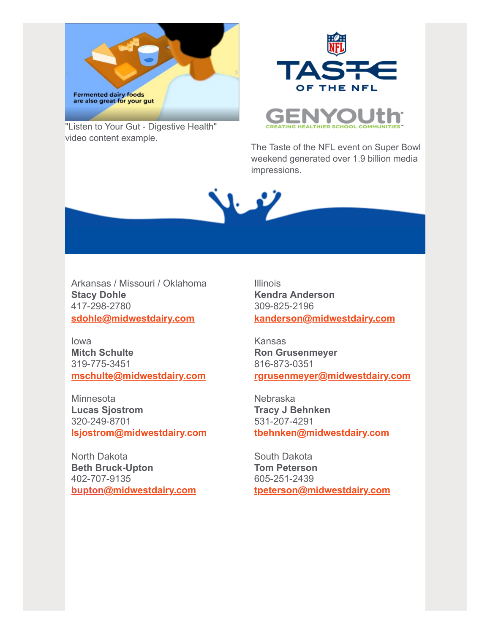

"Listen to Your Gut - Digestive Health" video content example.





The Taste of the NFL event on Super Bowl weekend generated over 1.9 billion media impressions.

Y

Arkansas / Missouri / Oklahoma **Stacy Dohle** 417-298-2780 **[sdohle@midwestdairy.com](mailto:sdohle@midwestdairy.com)**

Iowa **Mitch Schulte** 319-775-3451 **[mschulte@midwestdairy.com](mailto:mschulte@midwestdairy.com)**

**Minnesota Lucas Sjostrom** 320-249-8701 **[lsjostrom@midwestdairy.com](mailto:lsjostrom@midwestdairy.com)**

North Dakota **Beth Bruck-Upton** 402-707-9135 **bupton[@midwestdairy.com](mailto:aboeshans@midwestdairy.com)** Illinois **Kendra Anderson** 309-825-2196 **[kanderson@midwestdairy.com](mailto:kanderson@midwestdairy.com)**

Kansas **Ron Grusenmeyer** 816-873-0351 **[rgrusenmeyer@midwestdairy.com](mailto:rgrusenmeyer@midwestdairy.com)**

Nebraska **Tracy J Behnken** 531-207-4291 **[tbehnken@midwestdairy.com](mailto:tbehnken@midwestdairy.com)**

South Dakota **Tom Peterson** 605-251-2439 **[tpeterson@midwestdairy.com](mailto:tpeterson@midwestdairy.com)**